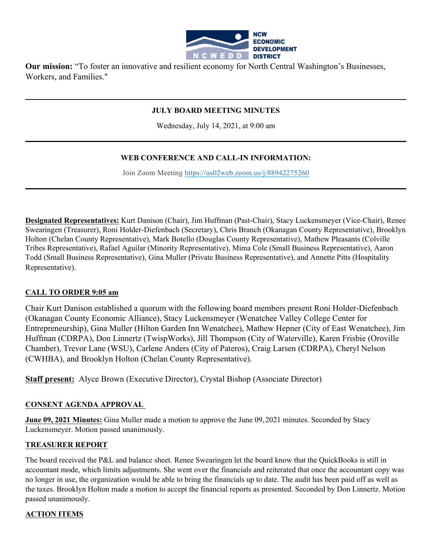

**Our mission:** "To foster an innovative and resilient economy for North Central Washington's Businesses, Workers, and Families."

#### **JULY BOARD MEETING MINUTES**

Wednesday, July 14, 2021, at 9:00 am

### **WEB CONFERENCE AND CALL-IN INFORMATION:**

Join Zoom Meeting https://us02web.zoom.us/j/88942275260

**Designated Representatives:** Kurt Danison (Chair), Jim Huffman (Past-Chair), Stacy Luckensmeyer (Vice-Chair), Renee Swearingen (Treasurer), Roni Holder-Diefenbach (Secretary), Chris Branch (Okanagan County Representative), Brooklyn Holton (Chelan County Representative), Mark Botello (Douglas County Representative), Mathew Pleasants (Colville Tribes Representative), Rafael Aguilar (Minority Representative), Mima Cole (Small Business Representative), Aaron Todd (Small Business Representative), Gina Muller (Private Business Representative), and Annette Pitts (Hospitality Representative).

#### **CALL TO ORDER 9:05 am**

Chair Kurt Danison established a quorum with the following board members present Roni Holder-Diefenbach (Okanagan County Economic Alliance), Stacy Luckensmeyer (Wenatchee Valley College Center for Entrepreneurship), Gina Muller (Hilton Garden Inn Wenatchee), Mathew Hepner (City of East Wenatchee), Jim Huffman (CDRPA), Don Linnertz (TwispWorks), Jill Thompson (City of Waterville), Karen Frisbie (Oroville Chamber), Trevor Lane (WSU), Carlene Anders (City of Pateros), Craig Larsen (CDRPA), Cheryl Nelson (CWHBA), and Brooklyn Holton (Chelan County Representative).

**Staff present:** Alyce Brown (Executive Director), Crystal Bishop (Associate Director)

#### **CONSENT AGENDA APPROVAL**

**June 09, 2021 Minutes:** Gina Muller made a motion to approve the June 09, 2021 minutes. Seconded by Stacy Luckensmeyer. Motion passed unanimously.

#### **TREASURER REPORT**

The board received the P&L and balance sheet. Renee Swearingen let the board know that the QuickBooks is still in accountant mode, which limits adjustments. She went over the financials and reiterated that once the accountant copy was no longer in use, the organization would be able to bring the financials up to date. The audit has been paid off as well as the taxes. Brooklyn Holton made a motion to accept the financial reports as presented. Seconded by Don Linnertz. Motion passed unanimously.

#### **ACTION ITEMS**